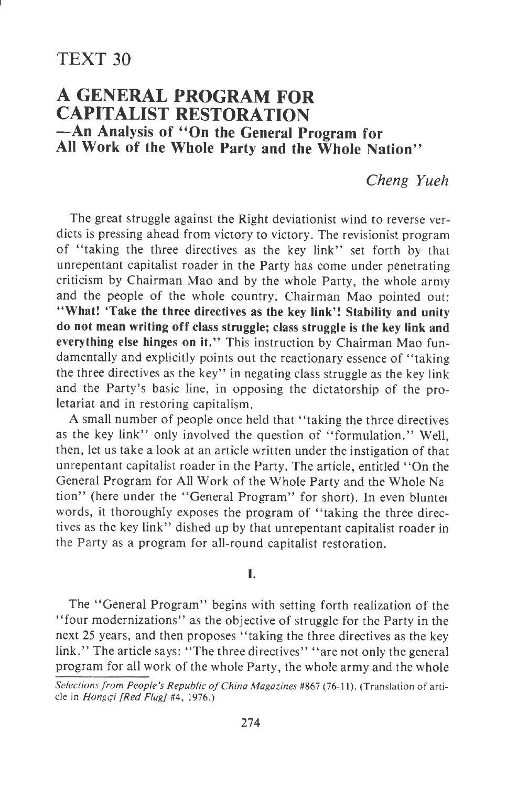# TEXT 30

## A GENERAL PROGRAM FOR CAPITALIST RESTORATION -An Analysis of "On the General Program for All Work of the Whole Party and the Whole Nation"

Cheng Yueh

The great struggle against the Right deviationist wind to reverse verdicts is pressing ahead from victory to victory. The revisionist program of "taking the three directives as the key link" set forth by that unrepentant capitalist roader in the Party has come under penetrating criticism by Chairman Mao and by the whole Party, the whole army and the people of the whole country. Chairman Mao pointed out: "What! 'Take the three directives as the key link'! Stability and unity do not mean writing off class struggle; class struggle is the key link and everything else hinges on it." This instruction by Chairman Mao fundamentally and explicitly points out the reactionary essence of "taking the three directives as the key" in negating class struggle as the key link and the Party's basic line, in opposing the dictatorship of the proletariat and in restoring capitalism.

A small number of people once held that "taking the three directives as the key link" only involved the question of "formulation." Well, then, let us take a look at an article written under the instigation of that unrepentant capitalist roader in the Party. The article, entitled "On the General Program for AII Work of the Whole Party and the Whole Na tion" (here under the "General Program" for short). In even blunter words, it thoroughly exposes the program of "taking the three directives as the key link" dished up by that unrepentant capitalist roader in the Party as a program for all-round capitalist restoration.

### I.

The "General Program" begins with setting forth realization of the "four modernizations" as the objective of struggle for the Party in the next 25 years, and then proposes "taking the three directives as the key link." The article says: "The three directives" "are not only the general program for all work of the whole Party, the whole army and the whole

Selections from People's Republic of China Magazines #867 (76-11). (Translation of article in Hongqi [Red Flag] #4, 1976.)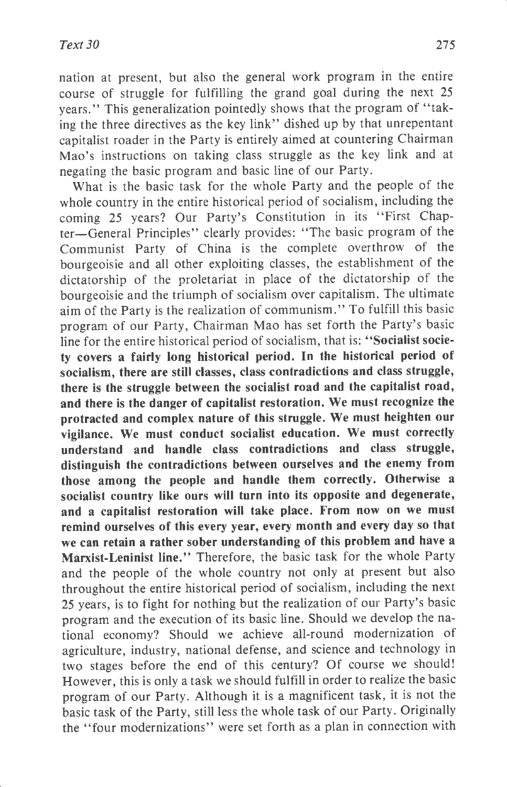nation at present, but also the general work program in the entire course of struggle for fulfilling the grand goal during the next <sup>25</sup> years." This generalization pointedly shows that the program of "taking the three directives as the key link" dished up by that unrepentant capitalist roader in the Party is entirely aimed at countering Chairman Mao's instructions on taking class struggle as the key link and at negating the basic program and basic line of our Party.

What is the basic task for the whole Party and the people of the whole country in the entire historical period of socialism, including the coming 25 years? Our Party's Constitution in its "First Chapter-General Principles" clearly provides: "The basic program of the Communist Party of China is the complete overthrow of the bourgeoisie and all other exploiting classes, the establishment of the dictatorship of the proletariat in place of the dictatorship of the bourgeoisie and the triumph of socialism over capitalism. The ultimate aim of the Party is the realization of communism." To fulfill this basic program of our Party, Chairman Mao has set forth the Party's basic line for the entire historical period of socialism, that is: "Socialist society covers a fairly long historical period. In the historical period of socialism, there are still classes, class contradictions and class struggle, there is the struggle between the socialist road and the capitalist road, and there is the danger of capitalist restoration. We must recognize the protracted and complex nature of this struggle. We must heighten our vigilance. We must conduct socialist education. We must correctly understand and handle class contradictions and class struggle, distinguish the contradictions between ourselves and the enemy from those among the people and handle them correctly. Otherwise <sup>a</sup> socialist country like ours will turn into its opposite and degenerate, and a capitalist restoration will take place. From now on we must remind ourselves of this every year, every month and every day so that we can retain a rather sober understanding of this problem and have <sup>a</sup> Marxist-Leninist line." Therefore, the basic task for the whole Party and the people of the whole country not only at present but also throughout the entire historical period of socialism, including the next 25 years, is to fight for nothing but the realization of our Party's basic program and the execution of its basic line. Should we develop the national economy? Should we achieve all-round modernization of agriculture, industry, national defense, and science and technology in two stages before the end of this century? Of course we should! However, this is only a task we should fulfill in order to realize the basic program of our Party. Although it is a magnificent task, it is not the basic task of the Party, still less the whole task of our Party. Originally the "four modernizations" were set forth as a plan in connection with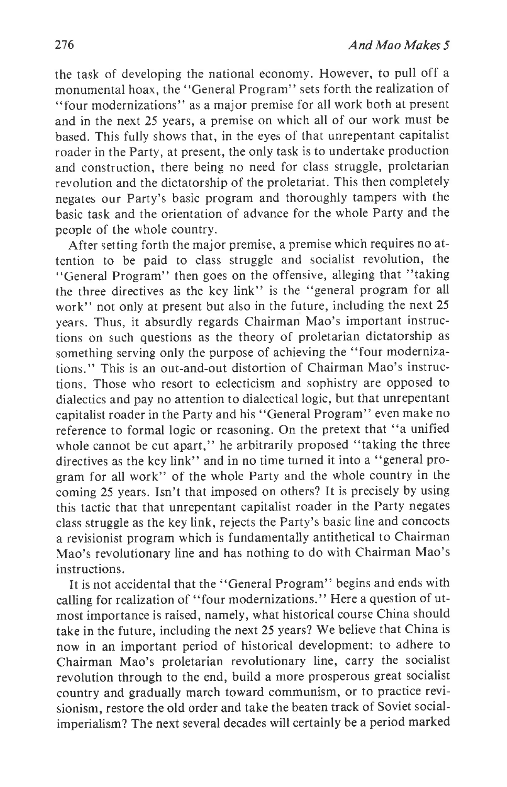the task of developing the national economy. However, to pull off <sup>a</sup> monumental hoax, the "General Program" sets forth the realization of "four modernizations" as a major premise for all work both at present and in the next 25 years, a premise on which all of our work must be based. This fully shows that, in the eyes of that unrepentant capitalist roader in the Party, at present, the only task is to undertake production and construction, there being no need for class struggle, proletarian revolution and the dictatorship of the proletariat. This then completely negates our Party's basic program and thoroughly tampers with the basic task and the orientation of advance for the whole Party and the people of the whole country.

After setting forth the major premise, a premise which requires no attention to be paid to class struggle and socialist revolution, the "General Program" then goes on the offensive, alleging that "taking the three directives as the key link" is the "general program for all work" not only at present but also in the future, including the next <sup>25</sup> years. Thus, it absurdly regards Chairman Mao's important instructions on such questions as the theory of proletarian dictatorship as something serving only the purpose of achieving the "four modernizations." This is an out-and-out distortion of Chairman Mao's instructions. Those who resort to eclecticism and sophistry are opposed to dialectics and pay no attention to dialectical logic. but that unrepentant capitalist roader in the Party and his "General Program" even make no reference to formal logic or reasoning. On the pretext that "a unified whole cannot be cut apart," he arbitrarily proposed "taking the three directives as the key link" and in no time turned it into a "general program for all work" of the whole Party and the whole country in the coming 25 years. Isn't that imposed on others? It is precisely by using this tactic that that unrepentant capitalist roader in the Party negates class struggle as the key link, rejects the Party's basic line and concocts a revisionist program which is fundamentally antithetical to Chairman Mao's revolutionary line and has nothing to do with Chairman Mao's instructions.

It is not accidental that the "General Program" begins and ends with calling for realization of "four modernizations." Here a question of utmost importance is raised, namely, what historical course China should take in the future, including the next 25 years? We believe that China is now in an important period of historical development: to adhere to Chairman Mao's proletarian revolutionary line, carry the socialist revolution through to the end, build a more prosperous great socialist country and gradually march toward communism, or to practice revisionism, restore the old order and take the beaten track of Soviet socialimperialism? The next several decades will certainly be a period marked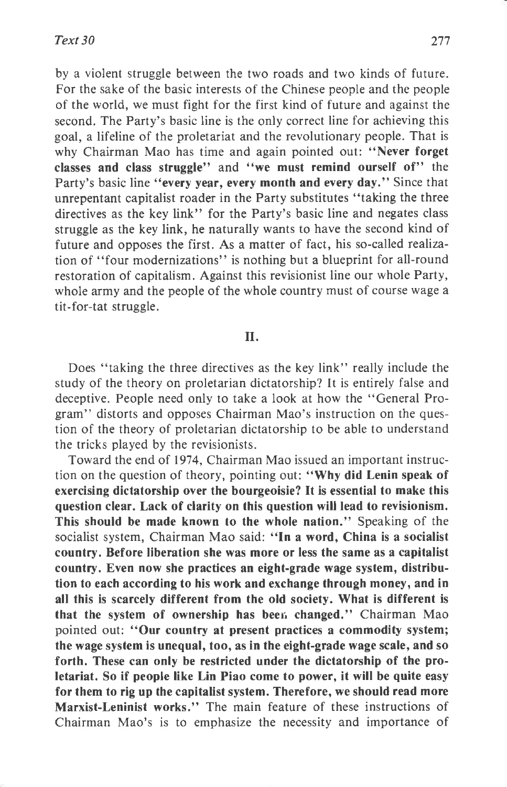by a violent struggle between the two roads and two kinds of future. For the sake of the basic interests of the Chinese people and the people of the world, we must fight for the first kind of future and against the second. The Party's basic line is the only correct line for achieving this goal, a lifeline of the proletariat and the revolutionary people. That is why Chairman Mao has time and again pointed out: "Never forget classes and class struggle" and "we must remind ourself of" the Party's basic line "every year, every month and every day." Since that unrepentant capitalist roader in the Party substitutes "taking the three directives as the key link" for the Party's basic line and negates class struggle as the key link, he naturally wants to have the second kind of future and opposes the first. As a matter of fact, his so-called realization of "four modernizations" is nothing but a blueprint for all-round restoration of capitalism. Against this revisionist line our whole Party, whole army and the people of the whole country must of course wage a tit-for-tat struggle.

#### II.

Does "taking the three directives as the key link" really include the study of the theory on proletarian dictatorship? It is entirely false and deceptive. People need only to take a look at how the "General Program" distorts and opposes Chairman Mao's instruction on the question of the theory of proletarian dictatorship to be able to understand the tricks played by the revisionists.

Toward the end of 1974, Chairman Mao issued an important instruction on the question of theory, pointing out: "Why did Lenin speak of exercising dictatorship over the bourgeoisie? It is essential to make this question clear. Lack of clarity on this question will lead to revisionism. This should be made known to the whole nation." Speaking of the socialist system, Chairman Mao said: "In a word, China is a socialist country. Before liberation she was more or less the same as a capitalist country. Even now she practices an eight-grade wage system, distribution to each according to his work and exchange through money, and in all this is scarcely different from the old society. What is different is that the system of ownership has been changed." Chairman Mao pointed out: "Our country at present practices a commodity system; the wage system is unequal, too, as in the eight-grade wage scale, and so forth. These can only be restricted under the dictatorship of the proletariat. So if people like Lin Piao come to power, it will be quite easy for them to rig up the capitalist system. Therefore, we should read more Marxist-Leninist works." The main feature of these instructions of Chairman Mao's is to emphasize the necessity and importance of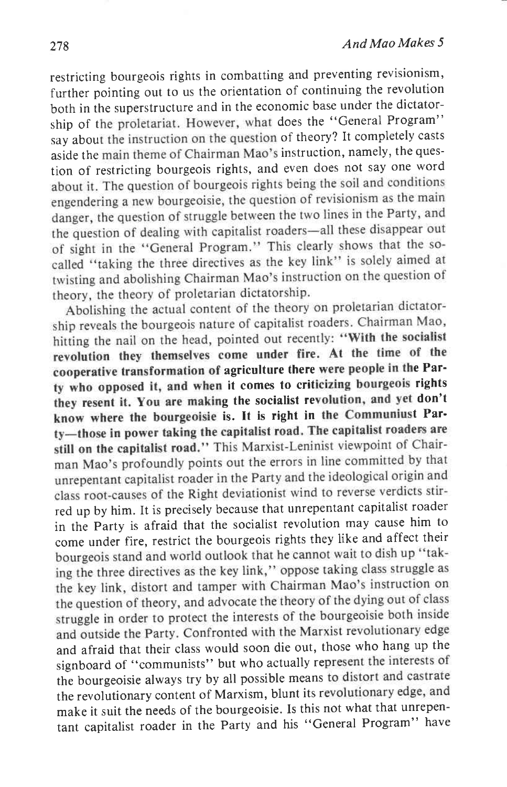restricting bourgeois rights in combatting and preventing revisionism, further pointing out to us the orientation of continuing the revolution both in the superstructure and in the economic base under the dictatorship of the proletariat. However, what does the "General Program" say about the instruction on the question of theory? It completely casts aside the main theme of Chairman Mao's instruction, namely, the question of restricting bourgeois rights, and even does not say one word about it. The question of bourgeois rights being the soil and conditions engendering a new bourgeoisie, the question of revisionism as the main danger, the question of struggle between the two lines in the Party, and the question of dealing with capitalist roaders—all these disappear out of sight in the "General Program." This clearly shows that the socalled "taking the three directives as the key link" is solely aimed at twisting and abolishing Chairman Mao's instruction on the question of theory, the theory of proletarian dictatorship.

Abolishing the actual content of the theory on proletarian dictatorship reveals the bourgeois nature of capitalist roaders. Chairman Mao, hitting the nail on the head, pointed out recently: "With the socialist revolution they themselves come under fire. At the time of the<br>cooperative transformation of agriculture there were people in the Party who opposed it, and when it comes to criticizing bourgeois rights they resent it. You are making the socialist revolution, and yet don't know where the bourgeoisie is. It is right in the Communiust Par-<br>ty—those in power taking the capitalist road. The capitalist roaders are still on the capitalist road." This Marxist-Leninist viewpoint of Chairman Mao's profoundly points out the errors in line committed by that unrepentant capitalist roader in the Party and the ideological origin and class root-causes of the Right deviationist wind to reverse verdicts stirred up by him. It is precisely because that unrepentant capitalist roader in the Party is afraid that the socialist revolution may cause him to come under fire, restrict the bourgeois rights they like and affect their<br>bourgeois stand and world outlook that he cannot wait to dish up "taking the three directives as the key link," oppose taking class struggle as the key link, distort and tamper with Chairman Mao's instruction on the question of theory, and advocate the theory of the dying out of class struggle in order to protect the interests of the bourgeoisie both inside and outside the Party. Confronted with the Marxist revolutionary edge<br>and afraid that their class would soon die out, those who hang up the signboard of "communists" but who actually represent the interests of the bourgeoisie always try by all possible means to distort and castrate the revolutionary content of Marxism, blunt its revolutionary edge, and make it suit the needs of the bourgeoisie. Is this not what that unrepentant capitalist roader in the Party and his "General Program" have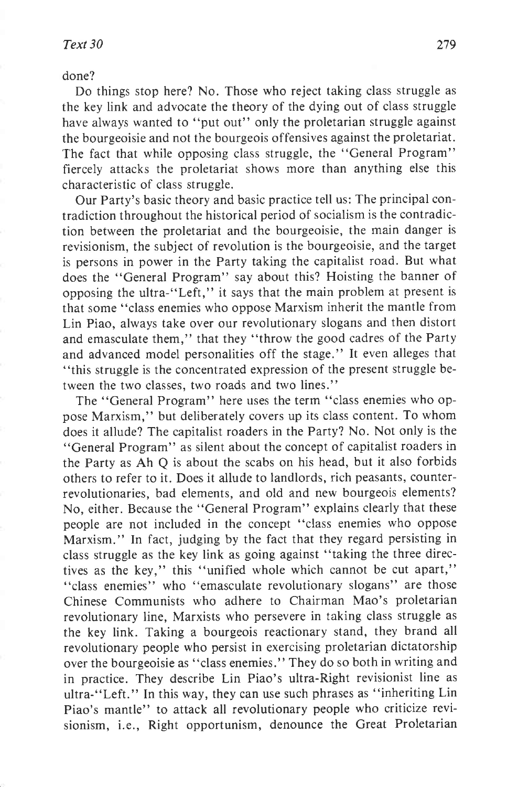#### done?

Do things stop here? No. Those who reject taking class struggle as the key link and advocate the theory of the dying out of class struggle have always wanted to "put out" only the proletarian struggle against the bourgeoisie and not the bourgeois offensives against the proletariat. The fact that while opposing class struggle, the "General Program" fiercely attacks the proletariat shows more than anything else this characteristic of class struggle.

Our Party's basic theory and basic practice tell us: The principal contradiction throughout the historical period of socialism is the contradiction between the proletariat and the bourgeoisie, the main danger is revisionism, the subject of revolution is the bourgeoisie, and the target is persons in power in the Party taking the capitalist road. But what does the "General Program" say about this? Hoisting the banner of opposing the ultra-"Left," it says that the main problem at present is that some "class enemies who oppose Marxism inherit the mantle from Lin Piao, always take over our revolutionary slogans and then distort and emasculate them," that they "throw the good cadres of the Party and advanced model personalities off the stage." It even alleges that "this struggle is the concentrated expression of the present struggle between the two classes, two roads and two lines."

The "General Program" here uses the term "class enemies who oppose Marxism," but deliberately covers up its class content. To whom does it allude? The capitalist roaders in the Party? No. Not only is the "General Program" as silent about the concept of capitalist roaders in the Party as Ah Q is about the scabs on his head, but it also forbids others to refer to it. Does it allude to landlords, rich peasants, counterrevolutionaries, bad elements, and old and new bourgeois elements? No, either. Because the "General Program" explains clearly that these people are not included in the concept "class enemies who oppose Marxism." In fact, judging by the fact that they regard persisting in class struggle as the key link as going against "taking the three directives as the key," this "unified whole which cannot be cut apart," "class enemies" who "emasculate revolutionary slogans" are those Chinese Communists who adhere to Chairman Mao's proletarian revolutionary line, Marxists who persevere in taking class struggle as the key link. Taking a bourgeois reactionary stand, they brand all revolutionary people who persist in exercising proletarian dictatorship over the bourgeoisie as "class enemies." They do so both in writing and in practice. They describe Lin Piao's ultra-Right revisionist line as ultra-"Left." In this way, they can use such phrases as "inheriting Lin Piao's mantle" to attack all revolutionary people who criticize revisionism, i.e., Right opportunism, denounce the Great Proletarian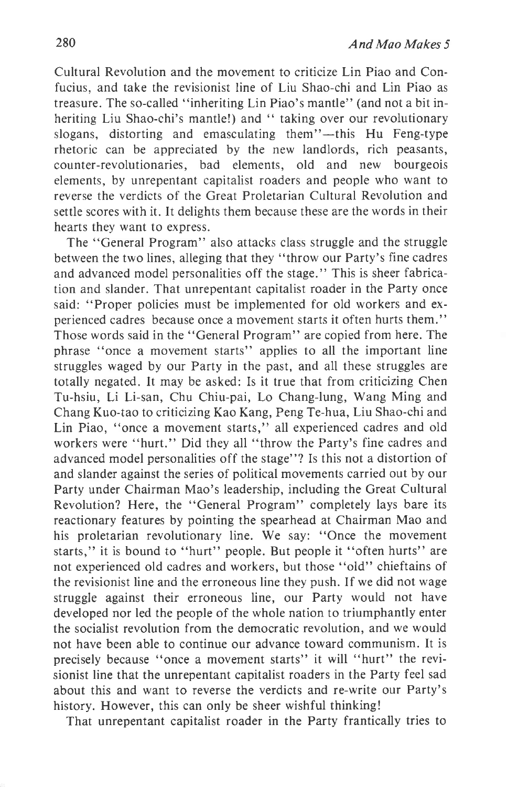Cultural Revolution and the movement to criticize Lin Piao and Confucius, and take the revisionist line of Liu Shao-chi and Lin Piao as treasure. The so-called "inheriting Lin Piao's mantle" (and not a bit inheriting Liu Shao-chi's mantle!) and " taking over our revolutionary slogans, distorting and emasculating them"-this Hu Feng-type rhetoric can be appreciated by the new landlords, rich peasants, counter-revolutionaries, bad elements, old and new bourgeois elements, by unrepentant capitalist roaders and people who want to reverse the verdicts of the Great Proletarian Cultural Revolution and settle scores with it. It delights them because these are the words in their hearts they want to express.

The "General Program" also attacks class struggle and the struggle between the two lines, alleging that they "throw our Party's fine cadres and advanced model personalities off the stage." This is sheer fabrication and slander. That unrepentant capitalist roader in the Party once said: "Proper policies must be implemented for old workers and experienced cadres because once a movement starts it often hurts them." Those words said in the "General Program" are copied from here. The phrase "once a movement starts" applies to all the important line struggles waged by our Party in the past, and all these struggles are totally negated. It may be asked: Is it true that from criticizing Chen Tu-hsiu, Li Li-san, Chu Chiu-pai, Lo Chang-lung, Wang Ming and Chang Kuo-tao to criticizing Kao Kang, Peng Te-hua, Liu Shao-chi and Lin Piao, "once a movement starts," all experienced cadres and old workers were "hurt." Did they all "throw the Party's fine cadres and advanced model personalities off the stage"? Is this not a distortion of and slander against the series of political movements carried out by our Party under Chairman Mao's leadership, including the Great Cultural Revolution? Here, the "General Program" completely lays bare its reactionary features by pointing the spearhead at Chairman Mao and his proletarian revolutionary line. We say: "Once the movement starts," it is bound to "hurt" people. But people it "often hurts" are not experienced old cadres and workers, but those "old" chieftains of the revisionist line and the erroneous line they push. If we did not wage struggle against their erroneous line, our Party would not have developed nor led the people of the whole nation to triumphantly enter the socialist revolution from the democratic revolution, and we would not have been able to continue our advance toward communism. It is precisely because "once a movement starts" it will "hurt" the revisionist line that the unrepentant capitalist roaders in the Party feel sad about this and want to reyerse the verdicts and re-write our Party's history. However, this can only be sheer wishful thinking!

That unrepentant capitalist roader in the Party frantically tries to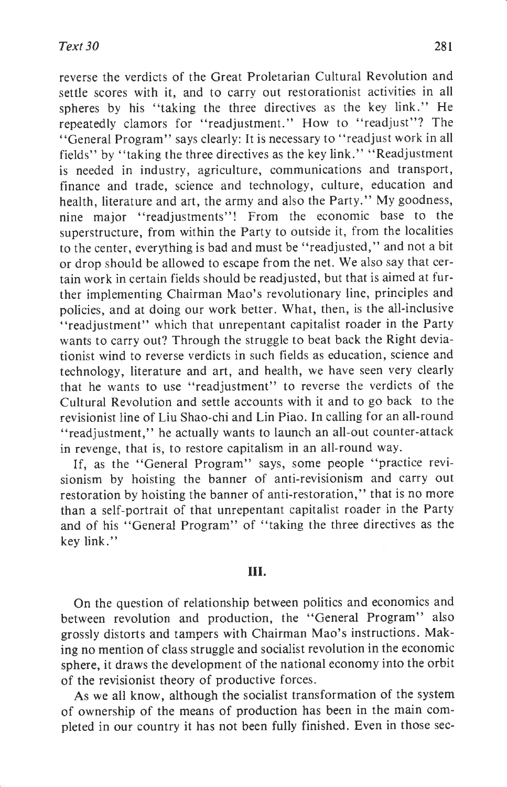reverse the verdicts of the Great Proletarian Cultural Revolution and settle scores with it, and to carry out restorationist activities in all spheres by his "taking the three directives as the key link." He repeatedly clamors for "readjustment." How to "readjust"? The "General Program" says clearly: It is necessary to "readjust work in all fields" by "taking the three directives as the key link." "Readjustment is needed in industry, agriculture, communications and transport, finance and trade, science and technology, culture, education and health, literature and art, the army and also the Party." My goodness, nine major "readjustments"! From the economic base to the superstructure, from within the Party to outside it, from the localities to the center, everything is bad and must be "readjusted," and not a bit or drop should be allowed to escape from the net. We also say that certain work in certain fields should be readjusted, but that is aimed at further implementing Chairman Mao's revolutionary line, principles and policies, and at doing our work better. What, then, is the all-inclusive "readjustment" which that unrepentant capitalist roader in the Party wants to carry out? Through the struggle to beat back the Right deviationist wind to reverse verdicts in such fields as education, science and technology, literature and art, and health, we have seen very clearly that he wants to use "readjustment" to reverse the verdicts of the Cultural Revolution and settle accounts with it and to go back to the revisionist line of Liu Shao-chi and Lin Piao. In calling for an all-round "readjustment," he actually wants to launch an all-out counter-attack in revenge, that is, to restore capitalism in an all-round way.

If, as the "General Program" says, some people "practice revisionism by hoisting the banner of anti-revisionism and carry out restoration by hoisting the banner of anti-restoration," that is no more than a self-portrait of that unrepentant capitalist roader in the Party and of his "General Program" of "taking the three directives as the key link."

## III.

On the question of relationship between politics and economics and between revolution and production, the "General Program" also grossly distorts and tampers with Chairman Mao's instructions. Making no mention of class struggle and socialist revolution in the economic sphere, it draws the development of the national economy into the orbit of the revisionist theory of productive forces.

As we all know, although the socialist transformation of the system of ownership of the means of production has been in the main completed in our country it has not been fully finished. Even in those sec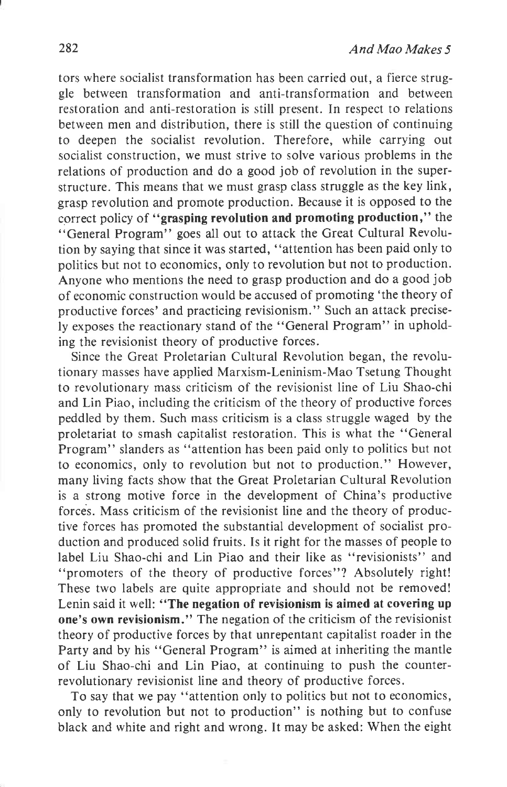tors where socialist transformation has been carried out, a fierce struggle between transformation and anti-transformation and between restoration and anti-restoration is still present. In respect to relations between men and distribution, there is still the question of continuing to deepen the socialist revolution. Therefore, while carrying out socialist construction, we must strive to solve various problems in the relations of production and do a good job of revolution in the superstructure. This means that we must grasp class struggle as the key link, grasp revolution and promote production. Because it is opposed to the correct policy of "grasping revolution and promoting production," the "General Program" goes all out to attack the Great Cultural Revolution by saying that since it was started, "attention has been paid only to politics but not to economics, only to revolution but not to production. Anyone who mentions the need to grasp production and do a good job of economic construction would be accused of promoting 'the theory of productive forces'and practicing revisionism." Such an attack precisely exposes the reactionary stand of the "General Program" in upholding the revisionist theory of productive forces.

Since the Great Proletarian Cultural Revolution began, the revolutionary masses have applied Marxism-Leninism-Mao Tsetung Thought to revolutionary mass criticism of the revisionist line of Liu Shao-chi and Lin Piao, including the criticism of the theory of productive forces peddled by them. Such mass criticism is a class struggle waged by the proletariat to smash capitalist restoration. This is what the "General Program" slanders as "attention has been paid only to politics but not to economics, only to revolution but not to production." However, many living facts show that the Great Proletarian Cultural Revolution is a strong motive force in the development of China's productive forces. Mass criticism of the revisionist line and the theory of productive forces has promoted the substantial development of socialist production and produced solid fruits. Is it right for the masses of people to label Liu Shao-chi and Lin Piao and their like as "revisionists" and "promoters of the theory of productive forces"? Absolutely right! These two labels are quite appropriate and should not be removed! Lenin said it well: "The negation of revisionism is aimed at covering up one's own revisionism." The negation of the criticism of the revisionist theory of productive forces by that unrepentant capitalist roader in the Party and by his "General Program" is aimed at inheriting the mantle of Liu Shao-chi and Lin Piao, at continuing to push the counterrevolutionary revisionist line and theory of productive forces.

To say that we pay "attention only to politics but not to economics, only to revolution but not to production" is nothing but to confuse black and white and right and wrong. It may be asked: When the eight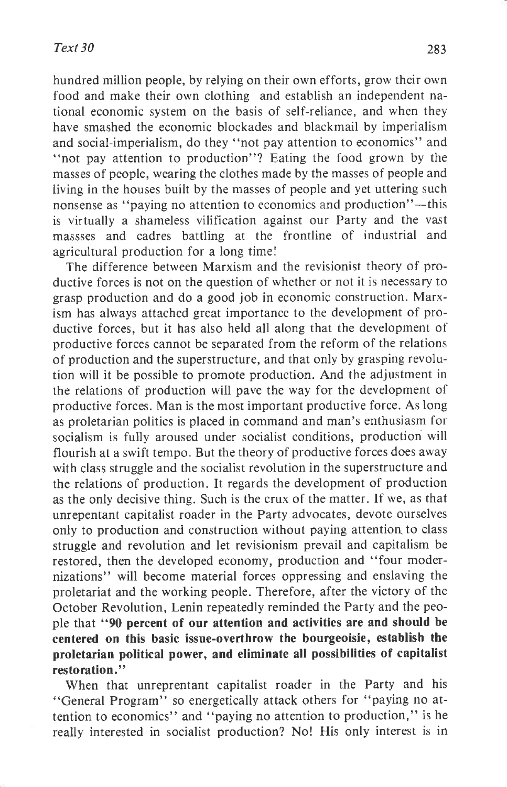hundred million people, by relying on their own efforts, grow their own food and make their own clothing and establish an independent national economic system on the basis of self-reliance, and when they have smashed the economic blockades and blackmail by imperialism and social-imperialism, do they "not pay attention to economics" and "not pay attention to production"? Eating the food grown by the masses of people, wearing the clothes made by the masses of people and living in the houses built by the masses of people and yet uttering such nonsense as "paying no attention to economics and production"—this is virtually a shameless vilification against our Party and the vast massses and cadres battling at the frontline of industrial and agricultural production for a long time!

The difference between Marxism and the revisionist theory of productive forces is not on the question of whether or not it is necessary to grasp production and do a good job in economic construction. Marxism has always attached great importance to the development of productive forces, but it has also held all along that the development of productive forces cannot be separated from the reform of the relations of production and the superstructure, and that only by grasping revolution will it be possible to promote production. And the adjustment in the relations of production will pave the way for the development of productive forces. Man is the most important productive force. As long as proletarian politics is placed in command and man's enthusiasm for socialism is fully aroused under socialist conditions, production will flourish at a swift tempo. But the theory of productive forces does away with class struggle and the socialist revolution in the superstructure and the relations of production. It regards the development of production as the only decisive thing. Such is the crux of the matter. If we, as that unrepentant capitalist roader in the Party advocates, devote ourselves only to production and construction without paying attention to class struggle and revolution and let revisionism prevail and capitalism be restored, then the developed economy, production and "four modernizations" will become material forces oppressing and enslaving the proletariat and the working people. Therefore, after the victory of the October Revolution, Lenin repeatedly reminded the Party and the people that "90 percent of our attention and activities are and should be centered on this basic issue-overthrow the bourgeoisie, establish the proletarian political power, and eliminate all possibilities of capitalist restoration."

When that unreprentant capitalist roader in the Party and his "General Program" so energetically attack others for "paying no attention to economics" and "paying no attention to production," is he really interested in socialist production? No! His only interest is in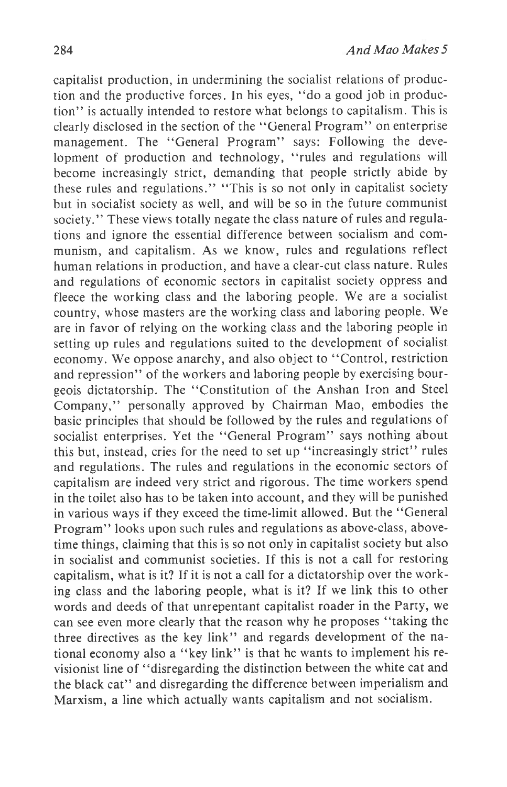capitalist production, in undermining the socialist relations of production and the productive forces. In his eyes, "do a good job in production" is actually intended to restore what belongs to capitalism. This is clearly disclosed in the section of the "General Program" on enterprise management. The "General Program" says: Following the development of production and technology, "rules and regulations will become increasingly strict, demanding that people strictly abide by these rules and regulations." "This is so not only in capitalist society but in socialist society as well, and will be so in the future communist society." These views totally negate the class nature of rules and regulations and ignore the essential difference between socialism and communism, and capitalism. As we know, rules and regulations reflect human relations in production, and have a clear-cut class nature. Rules and regulations of economic sectors in capitalist society oppress and fleece the working class and the laboring people. We are a socialist country, whose masters are the working class and laboring people. We are in favor of relying on the working class and the laboring people in setting up rules and regulations suited to the development of socialist economy. We oppose anarchy, and also object to "Control, restriction and repression" of the workers and laboring people by exercising bourgeois dictatorship. The "Constitution of the Anshan Iron and Steel Company," personally approved by Chairman Mao, embodies the basic principles that should be followed by the rules and regulations of socialist enterprises. Yet the "General Program" says nothing about this but, instead, cries for the need to set up "increasingly strict" rules and regulations. The rules and regulations in the economic sectors of capitalism are indeed very strict and rigorous. The time workers spend in the toilet also has to be taken into account, and they will be punished in various ways if they exceed the time-limit allowed. But the "Ceneral Program" looks upon such rules and regulations as above-class, abovetime things, claiming that this is so not only in capitalist society but also in socialist and communist societies. If this is not a call for restoring capitalism, what is it? If it is not a call for a dictatorship over the working class and the laboring people, what is it? If we link this to other words and deeds of that unrepentant capitalist roader in the Party, we can see even more clearly that the reason why he proposes "taking the three directives as the key link" and regards development of the national economy also a "key link" is that he wants to implement his revisionist line of "disregarding the distinction between the white cat and the black cat" and disregarding the difference between imperialism and Marxism, a line which actually wants capitalism and not socialism.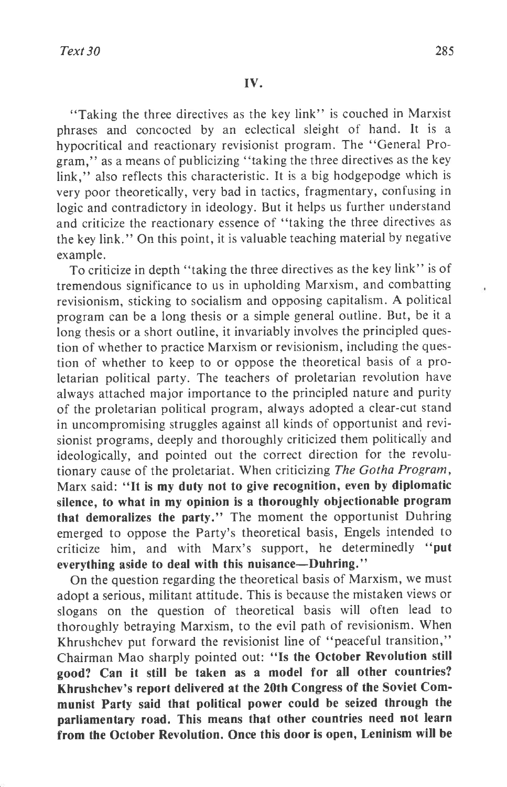"Taking the three directives as the key link" is couched in Marxist phrases and concocted by an eclectical sleight of hand. It is <sup>a</sup> hypocritical and reactionary revisionist program. The "General Program," as a means of publicizing "taking the three directives as the key link," also reflects this characteristic. It is a big hodgepodge which is very poor theoretically, very bad in tactics, fragmentary, confusing in logic and contradictory in ideology. But it helps us further understand and criticize the reactionary essence of "taking the three directives as the key link. " On this point, it is valuable teaching material by negative example,

To criticize in depth "taking the three directives as the key link" is of tremendous significance to us in upholding Marxism, and combatting revisionism, sticking to socialism and opposing capitalism. A political program can be a long thesis or a simple general outline. But, be it <sup>a</sup> long thesis or a short outline, it invariably involves the principled question of whether to practice Marxism or revisionism, including the question of whether to keep to or oppose the theoretical basis of a proletarian political party. The teachers of proletarian revolution have always attached major importance to the principled nature and purity of the proletarian political program, always adopted a clear-cut stand in uncompromising struggles against all kinds of opportunist and revisionist programs, deeply and thoroughly criticized them politically and ideologically, and pointed out the correct direction for the revolutionary cause of the proletariat. When criticizing The Gotha Program, Marx said: "It is my duty not to give recognition, even by diplomatic silence, to what in my opinion is a thoroughly objectionable program that demoralizes the party." The moment the opportunist Duhring emerged to oppose the Party's theoretical basis, Engels intended to criticize him, and with Marx's support, he determinedly "put everything aside to deal with this nuisance-Duhring."

On the question regarding the theoretical basis of Marxism, we must adopt a serious, militant attitude. This is because the mistaken views or slogans on the question of theoretical basis will often lead to thoroughly betraying Marxism, to the evil path of revisionism. When Khrushchev put forward the revisionist line of "peaceful transition," Chairman Mao sharply pointed out: "Is the October Revolution still good? Can it still be taken as a model for all other countries? Khrushchev's report delivered at the 20th Congress of the Soviet Com' munist Party said that political power could be seized through the parliamentary road. This means that other countries need not learn from the October Revolution. Once this door is open, Leninism will be